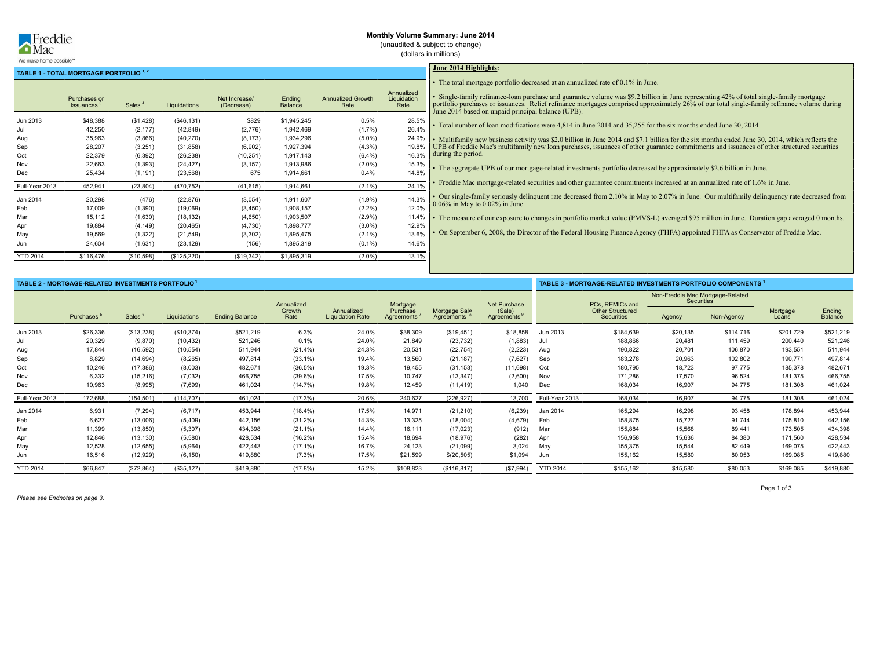

### **Monthly Volume Summary: June 2014**

(unaudited & subject to change)

#### (dollars in millions)

**June 2014 Highlights:** 

# **TABLE 1 - TOTAL MORTGAGE PORTFOLIO 1, 2**

|                 | Purchases or<br><b>Issuances</b> | Sales <sup>4</sup> | Liquidations | Net Increase/<br>(Decrease) | Ending<br><b>Balance</b> | <b>Annualized Growth</b><br>Rate | Annualized<br>Liquidation<br>Rate |
|-----------------|----------------------------------|--------------------|--------------|-----------------------------|--------------------------|----------------------------------|-----------------------------------|
| Jun 2013        | \$48,388                         | (\$1,428)          | (\$46,131)   | \$829                       | \$1,945,245              | 0.5%                             | 28.5%                             |
| Jul             | 42,250                           | (2, 177)           | (42, 849)    | (2,776)                     | 1,942,469                | $(1.7\%)$                        | 26.4%                             |
| Aug             | 35,963                           | (3,866)            | (40, 270)    | (8, 173)                    | 1,934,296                | $(5.0\%)$                        | 24.9%                             |
| Sep             | 28,207                           | (3,251)            | (31, 858)    | (6,902)                     | 1,927,394                | $(4.3\%)$                        | 19.8%                             |
| Oct             | 22,379                           | (6, 392)           | (26, 238)    | (10, 251)                   | 1,917,143                | $(6.4\%)$                        | 16.3%                             |
| Nov             | 22,663                           | (1, 393)           | (24, 427)    | (3, 157)                    | 1,913,986                | $(2.0\%)$                        | 15.3%                             |
| Dec             | 25,434                           | (1, 191)           | (23, 568)    | 675                         | 1.914.661                | 0.4%                             | 14.8%                             |
| Full-Year 2013  | 452,941                          | (23, 804)          | (470,752)    | (41, 615)                   | 1,914,661                | $(2.1\%)$                        | 24.1%                             |
| Jan 2014        | 20,298                           | (476)              | (22, 876)    | (3,054)                     | 1,911,607                | $(1.9\%)$                        | 14.3%                             |
| Feb             | 17,009                           | (1,390)            | (19,069)     | (3, 450)                    | 1,908,157                | $(2.2\%)$                        | 12.0%                             |
| Mar             | 15,112                           | (1,630)            | (18, 132)    | (4,650)                     | 1,903,507                | $(2.9\%)$                        | 11.4%                             |
| Apr             | 19,884                           | (4, 149)           | (20, 465)    | (4,730)                     | 1,898,777                | $(3.0\%)$                        | 12.9%                             |
| May             | 19,569                           | (1,322)            | (21, 549)    | (3,302)                     | 1,895,475                | $(2.1\%)$                        | 13.6%                             |
| Jun             | 24,604                           | (1,631)            | (23, 129)    | (156)                       | 1,895,319                | $(0.1\%)$                        | 14.6%                             |
| <b>YTD 2014</b> | \$116,476                        | (\$10,598)         | (\$125,220)  | ( \$19, 342)                | \$1,895,319              | $(2.0\%)$                        | 13.1%                             |

| $\bullet$ The total mortgage portfolio decreased at an annualized rate of 0.1% in June.                                                                                                                                                                                                                                                      |
|----------------------------------------------------------------------------------------------------------------------------------------------------------------------------------------------------------------------------------------------------------------------------------------------------------------------------------------------|
| • Single-family refinance-loan purchase and guarantee volume was \$9.2 billion in June representing 42% of total single-family mortgage<br>portfolio purchases or issuances. Relief refinance mortgages comprised approximately 26% of our total single-family refinance volume during<br>June 2014 based on unpaid principal balance (UPB). |

• Total number of loan modifications were 4,814 in June 2014 and 35,255 for the six months ended June 30, 2014.

.<br>Nultifamily new business activity was \$2.0 billion in June 2014 and \$7.1 billion for the six months ended June 30, 2014, which reflects the<br>UPB of Freddie Mac's multifamily new loan purchases, issuances of other guarante during the period.

• The aggregate UPB of our mortgage-related investments portfolio decreased by approximately \$2.6 billion in June.

• Freddie Mac mortgage-related securities and other guarantee commitments increased at an annualized rate of 1.6% in June.

• Our single-family seriously delinquent rate decreased from 2.10% in May to 2.07% in June. Our multifamily delinquency rate decreased from 0.06% in May to 0.02% in June.

• The measure of our exposure to changes in portfolio market value (PMVS-L) averaged \$95 million in June. Duration gap averaged 0 months.

• On September 6, 2008, the Director of the Federal Housing Finance Agency (FHFA) appointed FHFA as Conservator of Freddie Mac.

# **TABLE 2 - MORTGAGE-RELATED INVESTMENTS PORTFOLIO<sup>1</sup> TABLE 3 - MORTGAGE-RELATED INVESTMENTS PORTFOLIO COMPONENTS <sup>1</sup>**

|                 |                    |             |              |                       | Annualized     |                                       | Mortgage               |                             | Net Purchase                      |                 |                                       | Non-Freddie Mac Mortgage-Related<br><b>Securities</b><br>PCs, REMICs and |            |                   |                   |
|-----------------|--------------------|-------------|--------------|-----------------------|----------------|---------------------------------------|------------------------|-----------------------------|-----------------------------------|-----------------|---------------------------------------|--------------------------------------------------------------------------|------------|-------------------|-------------------|
|                 | Sales<br>Purchases |             | Liquidations | <b>Ending Balance</b> | Growth<br>Rate | Annualized<br><b>Liquidation Rate</b> | Purchase<br>Agreements | Mortgage Sale<br>Agreements | (Sale)<br>Agreements <sup>®</sup> |                 | <b>Other Structured</b><br>Securities | Agency                                                                   | Non-Agency | Mortgage<br>Loans | Ending<br>Balance |
| Jun 2013        | \$26,336           | ( \$13,238) | (\$10,374)   | \$521,219             | 6.3%           | 24.0%                                 | \$38,309               | (\$19,451)                  | \$18,858                          | Jun 2013        | \$184,639                             | \$20,135                                                                 | \$114,716  | \$201,729         | \$521,219         |
| Jul             | 20,329             | (9,870)     | (10, 432)    | 521,246               | 0.1%           | 24.0%                                 | 21,849                 | (23, 732)                   | (1,883)                           | Jul             | 188,866                               | 20,481                                                                   | 111.459    | 200,440           | 521,246           |
| Aug             | 17.844             | (16, 592)   | (10, 554)    | 511,944               | $(21.4\%)$     | 24.3%                                 | 20,531                 | (22, 754)                   | (2, 223)                          | Aug             | 190,822                               | 20,701                                                                   | 106,870    | 193,551           | 511,944           |
| Sep             | 8,829              | (14, 694)   | (8, 265)     | 497,814               | $(33.1\%)$     | 19.4%                                 | 13,560                 | (21, 187)                   | (7,627)                           | Sep             | 183,278                               | 20,963                                                                   | 102,802    | 190,771           | 497,814           |
| Oct             | 10,246             | (17, 386)   | (8,003)      | 482,671               | $(36.5\%)$     | 19.3%                                 | 19,455                 | (31, 153)                   | (11,698)                          | Oct             | 180,795                               | 18,723                                                                   | 97.775     | 185,378           | 482,671           |
| Nov             | 6,332              | (15, 216)   | (7,032)      | 466,755               | $(39.6\%)$     | 17.5%                                 | 10.747                 | (13, 347)                   | (2,600)                           | Nov             | 171.286                               | 17,570                                                                   | 96,524     | 181,375           | 466,755           |
| Dec             | 10,963             | (8,995)     | (7,699)      | 461,024               | (14.7%)        | 19.8%                                 | 12,459                 | (11, 419)                   | 1.040                             | Dec             | 168,034                               | 16,907                                                                   | 94,775     | 181,308           | 461,024           |
| Full-Year 2013  | 172.688            | (154, 501)  | (114.707)    | 461.024               | (17.3%)        | 20.6%                                 | 240,627                | (226, 927)                  | 13.700                            | Full-Year 2013  | 168.034                               | 16,907                                                                   | 94.775     | 181,308           | 461,024           |
| Jan 2014        | 6,931              | (7, 294)    | (6,717)      | 453,944               | $(18.4\%)$     | 17.5%                                 | 14,971                 | (21, 210)                   | (6, 239)                          | Jan 2014        | 165,294                               | 16,298                                                                   | 93,458     | 178,894           | 453,944           |
| Feb             | 6.627              | (13,006)    | (5,409)      | 442,156               | $(31.2\%)$     | 14.3%                                 | 13,325                 | (18,004)                    | (4,679)                           | Feb             | 158,875                               | 15.727                                                                   | 91.744     | 175,810           | 442,156           |
| Mar             | 11,399             | (13, 850)   | (5,307)      | 434,398               | $(21.1\%)$     | 14.4%                                 | 16,111                 | (17, 023)                   | (912)                             | Mar             | 155,884                               | 15,568                                                                   | 89.441     | 173,505           | 434,398           |
| Apr             | 12.846             | (13, 130)   | (5,580)      | 428,534               | $(16.2\%)$     | 15.4%                                 | 18,694                 | (18, 976)                   | (282)                             | Apr             | 156,958                               | 15,636                                                                   | 84,380     | 171,560           | 428,534           |
| May             | 12,528             | (12, 655)   | (5,964)      | 422,443               | $(17.1\%)$     | 16.7%                                 | 24,123                 | (21,099)                    | 3.024                             | May             | 155,375                               | 15,544                                                                   | 82.449     | 169,075           | 422,443           |
| Jun             | 16,516             | (12, 929)   | (6, 150)     | 419,880               | $(7.3\%)$      | 17.5%                                 | \$21,599               | \$(20,505)                  | \$1.094                           | Jun             | 155,162                               | 15,580                                                                   | 80,053     | 169,085           | 419,880           |
| <b>YTD 2014</b> | \$66,847           | (\$72,864)  | (\$35, 127)  | \$419,880             | (17.8%)        | 15.2%                                 | \$108,823              | (\$116, 817)                | (\$7,994)                         | <b>YTD 2014</b> | \$155,162                             | \$15,580                                                                 | \$80,053   | \$169,085         | \$419,880         |

*Please see Endnotes on page 3.*

Page 1 of 3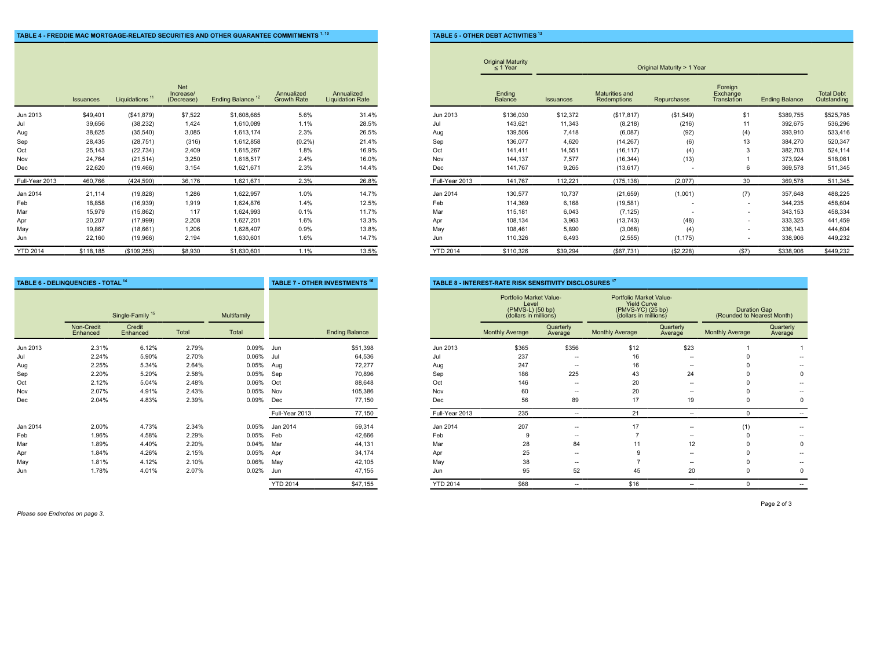# **TABLE 4 - FREDDIE MAC MORTGAGE-RELATED SECURITIES AND OTHER GUARANTEE COMMITMENTS <sup>1,10</sup> <b>TABLE 4 - FREDDIE MAC MORTGAGE-RELATED** STA

|                 | <b>Issuances</b> | Liquidations <sup>11</sup> | <b>Net</b><br>Increase/<br>(Decrease) | Ending Balance <sup>12</sup> | Annualized<br><b>Growth Rate</b> | Annualized<br><b>Liquidation Rate</b> |
|-----------------|------------------|----------------------------|---------------------------------------|------------------------------|----------------------------------|---------------------------------------|
| Jun 2013        | \$49,401         | ( \$41, 879)               | \$7,522                               | \$1,608,665                  | 5.6%                             | 31.4%                                 |
| Jul             | 39,656           | (38, 232)                  | 1,424                                 | 1,610,089                    | 1.1%                             | 28.5%                                 |
| Aug             | 38,625           | (35, 540)                  | 3,085                                 | 1,613,174                    | 2.3%                             | 26.5%                                 |
| Sep             | 28,435           | (28, 751)                  | (316)                                 | 1,612,858                    | $(0.2\%)$                        | 21.4%                                 |
| Oct             | 25,143           | (22, 734)                  | 2,409                                 | 1,615,267                    | 1.8%                             | 16.9%                                 |
| Nov             | 24,764           | (21, 514)                  | 3,250                                 | 1,618,517                    | 2.4%                             | 16.0%                                 |
| Dec             | 22,620           | (19, 466)                  | 3,154                                 | 1,621,671                    | 2.3%                             | 14.4%                                 |
| Full-Year 2013  | 460,766          | (424,590)                  | 36,176                                | 1,621,671                    | 2.3%                             | 26.8%                                 |
| Jan 2014        | 21,114           | (19, 828)                  | 1,286                                 | 1,622,957                    | 1.0%                             | 14.7%                                 |
| Feb             | 18,858           | (16,939)                   | 1.919                                 | 1,624,876                    | 1.4%                             | 12.5%                                 |
| Mar             | 15,979           | (15, 862)                  | 117                                   | 1,624,993                    | 0.1%                             | 11.7%                                 |
| Apr             | 20,207           | (17,999)                   | 2,208                                 | 1,627,201                    | 1.6%                             | 13.3%                                 |
| May             | 19,867           | (18,661)                   | 1,206                                 | 1,628,407                    | 0.9%                             | 13.8%                                 |
| Jun             | 22,160           | (19,966)                   | 2,194                                 | 1,630,601                    | 1.6%                             | 14.7%                                 |
| <b>YTD 2014</b> | \$118,185        | (\$109, 255)               | \$8,930                               | \$1,630,601                  | 1.1%                             | 13.5%                                 |

|          | TABLE 6 - DELINQUENCIES - TOTAL <sup>14</sup> |                             |       |             | <b>TABLE 7 - OTHER INVESTMENTS 16</b> |                       |                 | <b>TABLE 8 - INTEREST-RATE RISK</b> |
|----------|-----------------------------------------------|-----------------------------|-------|-------------|---------------------------------------|-----------------------|-----------------|-------------------------------------|
|          |                                               | Single-Family <sup>15</sup> |       | Multifamily |                                       |                       |                 | Portfolio M<br>(PMVS-<br>(dollars i |
|          | Non-Credit<br>Enhanced                        | Credit<br>Enhanced          | Total | Total       |                                       | <b>Ending Balance</b> |                 | <b>Monthly Average</b>              |
| Jun 2013 | 2.31%                                         | 6.12%                       | 2.79% | 0.09%       | Jun                                   | \$51,398              | Jun 2013        | \$365                               |
| Jul      | 2.24%                                         | 5.90%                       | 2.70% | 0.06%       | Jul                                   | 64,536                | Jul             | 237                                 |
| Aug      | 2.25%                                         | 5.34%                       | 2.64% | 0.05%       | Aug                                   | 72,277                | Aug             | 247                                 |
| Sep      | 2.20%                                         | 5.20%                       | 2.58% | 0.05%       | Sep                                   | 70,896                | Sep             | 186                                 |
| Oct      | 2.12%                                         | 5.04%                       | 2.48% | 0.06%       | Oct                                   | 88,648                | Oct             | 146                                 |
| Nov      | 2.07%                                         | 4.91%                       | 2.43% | 0.05%       | Nov                                   | 105,386               | Nov             | 60                                  |
| Dec      | 2.04%                                         | 4.83%                       | 2.39% | 0.09%       | Dec                                   | 77,150                | Dec             | 56                                  |
|          |                                               |                             |       |             | Full-Year 2013                        | 77,150                | Full-Year 2013  | 235                                 |
| Jan 2014 | 2.00%                                         | 4.73%                       | 2.34% | 0.05%       | Jan 2014                              | 59,314                | Jan 2014        | 207                                 |
| Feb      | 1.96%                                         | 4.58%                       | 2.29% | 0.05%       | Feb                                   | 42,666                | Feb             |                                     |
| Mar      | 1.89%                                         | 4.40%                       | 2.20% | 0.04%       | Mar                                   | 44,131                | Mar             | 28                                  |
| Apr      | 1.84%                                         | 4.26%                       | 2.15% | 0.05%       | Apr                                   | 34,174                | Apr             | 25                                  |
| May      | 1.81%                                         | 4.12%                       | 2.10% | 0.06%       | May                                   | 42,105                | May             | 38                                  |
| Jun      | 1.78%                                         | 4.01%                       | 2.07% | 0.02%       | Jun                                   | 47,155                | Jun             | 95                                  |
|          |                                               |                             |       |             | <b>YTD 2014</b>                       | \$47,155              | <b>YTD 2014</b> | \$68                                |
|          |                                               |                             |       |             |                                       |                       |                 |                                     |

|                 |           |              |                                       |                              |                           |                                       |                 | <b>Original Maturity</b><br>$\leq$ 1 Year |           |                               | Original Maturity > 1 Year |                                    |                       |                                  |
|-----------------|-----------|--------------|---------------------------------------|------------------------------|---------------------------|---------------------------------------|-----------------|-------------------------------------------|-----------|-------------------------------|----------------------------|------------------------------------|-----------------------|----------------------------------|
|                 | Issuances | Liquidations | <b>Net</b><br>Increase/<br>(Decrease) | Ending Balance <sup>12</sup> | Annualized<br>Growth Rate | Annualized<br><b>Liquidation Rate</b> |                 | Ending<br>Balance                         | Issuances | Maturities and<br>Redemptions | Repurchases                | Foreign<br>Exchange<br>Translation | <b>Ending Balance</b> | <b>Total Debt</b><br>Outstanding |
| Jun 2013        | \$49,401  | (\$41,879)   | \$7,522                               | \$1,608,665                  | 5.6%                      | 31.4%                                 | Jun 2013        | \$136,030                                 | \$12,372  | (\$17,817)                    | (\$1,549)                  | \$1                                | \$389,755             | \$525,785                        |
| Jul             | 39,656    | (38, 232)    | 1.424                                 | 1,610,089                    | 1.1%                      | 28.5%                                 | Jul             | 143,621                                   | 11,343    | (8, 218)                      | (216)                      | 11                                 | 392,675               | 536,296                          |
| Aug             | 38,625    | (35, 540)    | 3,085                                 | 1,613,174                    | 2.3%                      | 26.5%                                 | Aug             | 139,506                                   | 7,418     | (6,087)                       | (92)                       | (4)                                | 393,910               | 533,416                          |
| Sep             | 28,435    | (28, 751)    | (316)                                 | 1,612,858                    | $(0.2\%)$                 | 21.4%                                 | Sep             | 136,077                                   | 4,620     | (14, 267)                     | (6)                        | 13                                 | 384,270               | 520,347                          |
| Oct             | 25,143    | (22, 734)    | 2,409                                 | 1,615,267                    | 1.8%                      | 16.9%                                 | Oct             | 141,411                                   | 14,551    | (16, 117)                     | (4)                        |                                    | 382,703               | 524,114                          |
| Nov             | 24,764    | (21, 514)    | 3.250                                 | 1,618,517                    | 2.4%                      | 16.0%                                 | Nov             | 144,137                                   | 7,577     | (16, 344)                     | (13)                       |                                    | 373,924               | 518,061                          |
| Dec             | 22,620    | (19, 466)    | 3,154                                 | 1,621,671                    | 2.3%                      | 14.4%                                 | Dec             | 141,767                                   | 9,265     | (13, 617)                     |                            |                                    | 369,578               | 511,345                          |
| Full-Year 2013  | 460,766   | (424, 590)   | 36,176                                | 1,621,671                    | 2.3%                      | 26.8%                                 | Full-Year 2013  | 141,767                                   | 112,221   | (175, 138)                    | (2,077)                    | 30                                 | 369,578               | 511,345                          |
| Jan 2014        | 21,114    | (19, 828)    | 1,286                                 | 1,622,957                    | 1.0%                      | 14.7%                                 | Jan 2014        | 130,577                                   | 10,737    | (21, 659)                     | (1,001)                    | (7)                                | 357,648               | 488,225                          |
| Feb             | 18,858    | (16, 939)    | 1,919                                 | 1,624,876                    | 1.4%                      | 12.5%                                 | Feb             | 114,369                                   | 6,168     | (19, 581)                     | $\overline{\phantom{a}}$   | $\overline{\phantom{a}}$           | 344,235               | 458,604                          |
| Mar             | 15,979    | (15, 862)    | 117                                   | 1,624,993                    | 0.1%                      | 11.7%                                 | Mar             | 115,181                                   | 6,043     | (7, 125)                      |                            | $\overline{\phantom{a}}$           | 343,153               | 458,334                          |
| Apr             | 20,207    | (17,999)     | 2,208                                 | 1,627,201                    | 1.6%                      | 13.3%                                 | Apr             | 108,134                                   | 3,963     | (13, 743)                     | (48)                       | $\overline{\phantom{a}}$           | 333,325               | 441,459                          |
| May             | 19,867    | (18,661)     | 1,206                                 | 1,628,407                    | 0.9%                      | 13.8%                                 | May             | 108,461                                   | 5,890     | (3,068)                       | (4)                        | $\overline{\phantom{a}}$           | 336,143               | 444,604                          |
| Jun             | 22,160    | (19,966)     | 2,194                                 | 1,630,601                    | 1.6%                      | 14.7%                                 | Jun             | 110,326                                   | 6,493     | (2, 555)                      | (1, 175)                   | $\overline{\phantom{a}}$           | 338,906               | 449,232                          |
| <b>YTD 2014</b> | \$118,185 | (\$109,255)  | \$8,930                               | \$1,630,601                  | 1.1%                      | 13.5%                                 | <b>YTD 2014</b> | \$110,326                                 | \$39,294  | (\$67,731)                    | (\$2,228)                  | (57)                               | \$338,906             | \$449,232                        |

# **TABLE 6 - DELINQUENCIES - TOTAL<sup>14</sup> TABLE 7 - OTHER INVESTMENTS <sup>16</sup> TABLE 8 - INTEREST-RATE RISK SENSITIVITY DISCLOSURES <sup>17</sup>**

|          | Single-Family <sup>15</sup> |                    |       | Multifamily |                 |                       |                 | Portfolio Market Value-<br>Level<br>(PMVS-L) (50 bp)<br>(dollars in millions) |                          | Portfolio Market Value-<br><b>Yield Curve</b><br>(PMVS-YC) (25 bp)<br>(dollars in millions) |                          | <b>Duration Gap</b><br>(Rounded to Nearest Month) |                                       |
|----------|-----------------------------|--------------------|-------|-------------|-----------------|-----------------------|-----------------|-------------------------------------------------------------------------------|--------------------------|---------------------------------------------------------------------------------------------|--------------------------|---------------------------------------------------|---------------------------------------|
|          | Non-Credit<br>Enhanced      | Credit<br>Enhanced | Total | Total       |                 | <b>Ending Balance</b> |                 | <b>Monthly Average</b>                                                        | Quarterly<br>Average     | Monthly Average                                                                             | Quarterly<br>Average     | <b>Monthly Average</b>                            | Quarterly<br>Average                  |
| Jun 2013 | 2.31%                       | 6.12%              | 2.79% | 0.09%       | Jun             | \$51,398              | Jun 2013        | \$365                                                                         | \$356                    | \$12                                                                                        | \$23                     |                                                   |                                       |
| Jul      | 2.24%                       | 5.90%              | 2.70% | 0.06%       | Jul             | 64,536                | Jul             | 237                                                                           | $\overline{\phantom{a}}$ | 16                                                                                          | $\overline{a}$           |                                                   |                                       |
| Aug      | 2.25%                       | 5.34%              | 2.64% | 0.05%       | Aug             | 72,277                | Aug             | 247                                                                           | $\hspace{0.05cm}$        | 16                                                                                          | $- -$                    |                                                   | $\hspace{0.05cm}$ – $\hspace{0.05cm}$ |
| Sep      | 2.20%                       | 5.20%              | 2.58% | 0.05%       | Sep             | 70,896                | Sep             | 186                                                                           | 225                      | 43                                                                                          | 24                       |                                                   | $\mathbf 0$                           |
| Oct      | 2.12%                       | 5.04%              | 2.48% | 0.06%       | Oct             | 88,648                | Oct             | 146                                                                           | $\overline{\phantom{a}}$ | 20                                                                                          | $\overline{\phantom{a}}$ |                                                   | $\overline{\phantom{a}}$              |
| Nov      | 2.07%                       | 4.91%              | 2.43% | 0.05%       | Nov             | 105,386               | Nov             | 60                                                                            | $\overline{\phantom{a}}$ | 20                                                                                          | $\hspace{0.05cm} \ldots$ |                                                   | $\hspace{0.05cm}$ – $\hspace{0.05cm}$ |
| Dec      | 2.04%                       | 4.83%              | 2.39% | 0.09%       | Dec             | 77,150                | Dec             | 56                                                                            | 89                       | 17                                                                                          | 19                       |                                                   | $\mathbf 0$                           |
|          |                             |                    |       |             | Full-Year 2013  | 77,150                | Full-Year 2013  | 235                                                                           | $\overline{\phantom{a}}$ | 21                                                                                          | $\overline{\phantom{a}}$ |                                                   | $\overline{\phantom{a}}$              |
| Jan 2014 | 2.00%                       | 4.73%              | 2.34% | 0.05%       | Jan 2014        | 59,314                | Jan 2014        | 207                                                                           | $\overline{\phantom{a}}$ | 17                                                                                          | $\overline{\phantom{a}}$ | (1)                                               | $\sim$                                |
| Feb      | 1.96%                       | 4.58%              | 2.29% | 0.05%       | Feb             | 42,666                | Feb             |                                                                               | $\overline{\phantom{a}}$ |                                                                                             | $- -$                    |                                                   | --                                    |
| Mar      | 1.89%                       | 4.40%              | 2.20% | 0.04%       | Mar             | 44,131                | Mar             | 28                                                                            | 84                       | 11                                                                                          | 12                       |                                                   | $\mathbf 0$                           |
| Apr      | 1.84%                       | 4.26%              | 2.15% | 0.05%       | Apr             | 34,174                | Apr             | 25                                                                            | $\overline{\phantom{a}}$ |                                                                                             | $\overline{\phantom{a}}$ |                                                   | $\overline{\phantom{a}}$              |
| May      | 1.81%                       | 4.12%              | 2.10% | 0.06%       | May             | 42,105                | May             | 38                                                                            | $\overline{\phantom{a}}$ |                                                                                             | $\overline{\phantom{a}}$ |                                                   | $\overline{\phantom{a}}$              |
| Jun      | 1.78%                       | 4.01%              | 2.07% | 0.02%       | Jun             | 47,155                | Jun             | 95                                                                            | 52                       | 45                                                                                          | 20                       |                                                   | $\mathbf 0$                           |
|          |                             |                    |       |             | <b>YTD 2014</b> | \$47,155              | <b>YTD 2014</b> | \$68                                                                          | $\sim$                   | \$16                                                                                        | $-$                      |                                                   | $\overline{\phantom{a}}$              |

*Please see Endnotes on page 3.*

Page 2 of 3